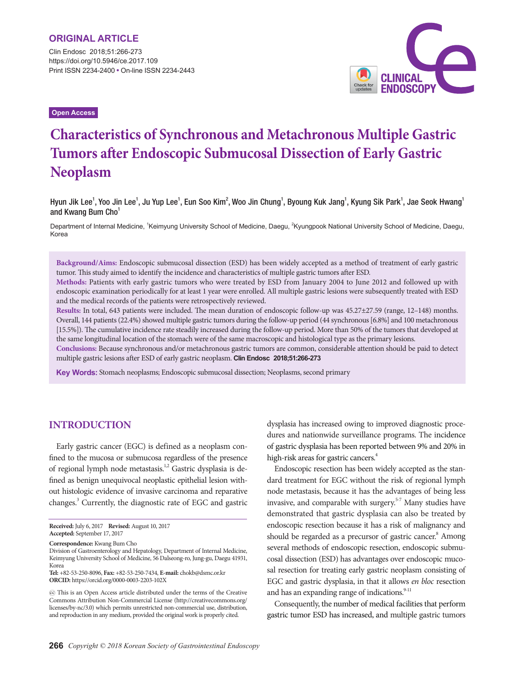Clin Endosc 2018;51:266-273 https://doi.org/10.5946/ce.2017.109 Print ISSN 2234-2400 • On-line ISSN 2234-2443

**Open Access**



# **Characteristics of Synchronous and Metachronous Multiple Gastric Tumors after Endoscopic Submucosal Dissection of Early Gastric Neoplasm**

Hyun Jik Lee<sup>1</sup>, Yoo Jin Lee<sup>1</sup>, Ju Yup Lee<sup>1</sup>, Eun Soo Kim<sup>2</sup>, Woo Jin Chung<sup>1</sup>, Byoung Kuk Jang<sup>1</sup>, Kyung Sik Park<sup>1</sup>, Jae Seok Hwang<sup>1</sup> and Kwang Bum Cho<sup>1</sup>

Department of Internal Medicine, <sup>1</sup>Keimyung University School of Medicine, Daegu, <sup>2</sup>Kyungpook National University School of Medicine, Daegu, Korea

**Background/Aims:** Endoscopic submucosal dissection (ESD) has been widely accepted as a method of treatment of early gastric tumor. This study aimed to identify the incidence and characteristics of multiple gastric tumors after ESD.

**Methods:** Patients with early gastric tumors who were treated by ESD from January 2004 to June 2012 and followed up with endoscopic examination periodically for at least 1 year were enrolled. All multiple gastric lesions were subsequently treated with ESD and the medical records of the patients were retrospectively reviewed.

**Results:** In total, 643 patients were included. The mean duration of endoscopic follow-up was 45.27±27.59 (range, 12–148) months. Overall, 144 patients (22.4%) showed multiple gastric tumors during the follow-up period (44 synchronous [6.8%] and 100 metachronous [15.5%]). The cumulative incidence rate steadily increased during the follow-up period. More than 50% of the tumors that developed at the same longitudinal location of the stomach were of the same macroscopic and histological type as the primary lesions.

**Conclusions:** Because synchronous and/or metachronous gastric tumors are common, considerable attention should be paid to detect multiple gastric lesions after ESD of early gastric neoplasm. **Clin Endosc 2018;51:266-273**

**Key Words:** Stomach neoplasms; Endoscopic submucosal dissection; Neoplasms, second primary

## **Introduction**

Early gastric cancer (EGC) is defined as a neoplasm confined to the mucosa or submucosa regardless of the presence of regional lymph node metastasis.<sup>1,2</sup> Gastric dysplasia is defined as benign unequivocal neoplastic epithelial lesion without histologic evidence of invasive carcinoma and reparative changes.3 Currently, the diagnostic rate of EGC and gastric

**Correspondence:** Kwang Bum Cho

dysplasia has increased owing to improved diagnostic procedures and nationwide surveillance programs. The incidence of gastric dysplasia has been reported between 9% and 20% in high-risk areas for gastric cancers.<sup>4</sup>

Endoscopic resection has been widely accepted as the standard treatment for EGC without the risk of regional lymph node metastasis, because it has the advantages of being less invasive, and comparable with surgery.<sup>5-7</sup> Many studies have demonstrated that gastric dysplasia can also be treated by endoscopic resection because it has a risk of malignancy and should be regarded as a precursor of gastric cancer.<sup>8</sup> Among several methods of endoscopic resection, endoscopic submucosal dissection (ESD) has advantages over endoscopic mucosal resection for treating early gastric neoplasm consisting of EGC and gastric dysplasia, in that it allows *en bloc* resection and has an expanding range of indications. $9-11$ 

Consequently, the number of medical facilities that perform gastric tumor ESD has increased, and multiple gastric tumors

**Received:** July 6, 2017 **Revised:** August 10, 2017 **Accepted:** September 17, 2017

Division of Gastroenterology and Hepatology, Department of Internal Medicine, Keimyung University School of Medicine, 56 Dalseong-ro, Jung-gu, Daegu 41931, Korea

**Tel:** +82-53-250-8096, **Fax:** +82-53-250-7434, **E-mail:** chokb@dsmc.or.kr **ORCID:** https://orcid.org/0000-0003-2203-102X

cc This is an Open Access article distributed under the terms of the Creative Commons Attribution Non-Commercial License (http://creativecommons.org/ licenses/by-nc/3.0) which permits unrestricted non-commercial use, distribution, and reproduction in any medium, provided the original work is properly cited.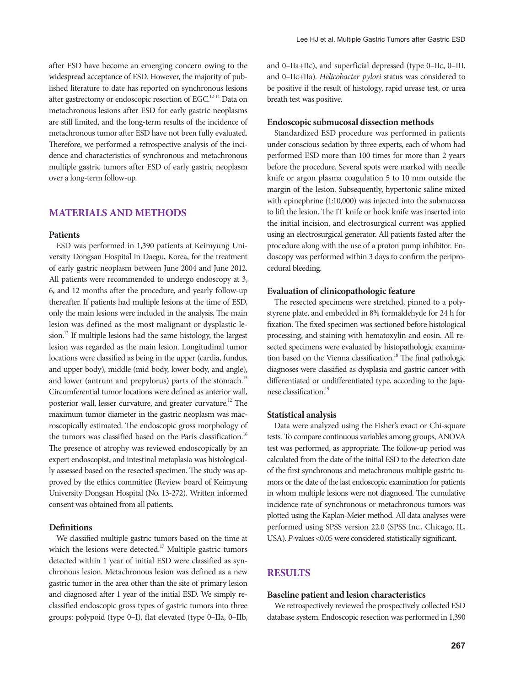after ESD have become an emerging concern owing to the widespread acceptance of ESD. However, the majority of published literature to date has reported on synchronous lesions after gastrectomy or endoscopic resection of EGC.<sup>12-14</sup> Data on metachronous lesions after ESD for early gastric neoplasms are still limited, and the long-term results of the incidence of metachronous tumor after ESD have not been fully evaluated. Therefore, we performed a retrospective analysis of the incidence and characteristics of synchronous and metachronous multiple gastric tumors after ESD of early gastric neoplasm over a long-term follow-up.

## **Materials and Methods**

#### **Patients**

ESD was performed in 1,390 patients at Keimyung University Dongsan Hospital in Daegu, Korea, for the treatment of early gastric neoplasm between June 2004 and June 2012. All patients were recommended to undergo endoscopy at 3, 6, and 12 months after the procedure, and yearly follow-up thereafter. If patients had multiple lesions at the time of ESD, only the main lesions were included in the analysis. The main lesion was defined as the most malignant or dysplastic lesion.<sup>12</sup> If multiple lesions had the same histology, the largest lesion was regarded as the main lesion. Longitudinal tumor locations were classified as being in the upper (cardia, fundus, and upper body), middle (mid body, lower body, and angle), and lower (antrum and prepylorus) parts of the stomach.<sup>15</sup> Circumferential tumor locations were defined as anterior wall, posterior wall, lesser curvature, and greater curvature.12 The maximum tumor diameter in the gastric neoplasm was macroscopically estimated. The endoscopic gross morphology of the tumors was classified based on the Paris classification.<sup>16</sup> The presence of atrophy was reviewed endoscopically by an expert endoscopist, and intestinal metaplasia was histologically assessed based on the resected specimen. The study was approved by the ethics committee (Review board of Keimyung University Dongsan Hospital (No. 13-272). Written informed consent was obtained from all patients.

#### **Definitions**

We classified multiple gastric tumors based on the time at which the lesions were detected.<sup>17</sup> Multiple gastric tumors detected within 1 year of initial ESD were classified as synchronous lesion. Metachronous lesion was defined as a new gastric tumor in the area other than the site of primary lesion and diagnosed after 1 year of the initial ESD. We simply reclassified endoscopic gross types of gastric tumors into three groups: polypoid (type 0–I), flat elevated (type 0–IIa, 0–IIb,

and 0–IIa+IIc), and superficial depressed (type 0–IIc, 0–III, and 0–IIc+IIa). *Helicobacter pylori* status was considered to be positive if the result of histology, rapid urease test, or urea breath test was positive.

#### **Endoscopic submucosal dissection methods**

Standardized ESD procedure was performed in patients under conscious sedation by three experts, each of whom had performed ESD more than 100 times for more than 2 years before the procedure. Several spots were marked with needle knife or argon plasma coagulation 5 to 10 mm outside the margin of the lesion. Subsequently, hypertonic saline mixed with epinephrine (1:10,000) was injected into the submucosa to lift the lesion. The IT knife or hook knife was inserted into the initial incision, and electrosurgical current was applied using an electrosurgical generator. All patients fasted after the procedure along with the use of a proton pump inhibitor. Endoscopy was performed within 3 days to confirm the periprocedural bleeding.

#### **Evaluation of clinicopathologic feature**

The resected specimens were stretched, pinned to a polystyrene plate, and embedded in 8% formaldehyde for 24 h for fixation. The fixed specimen was sectioned before histological processing, and staining with hematoxylin and eosin. All resected specimens were evaluated by histopathologic examination based on the Vienna classification.<sup>18</sup> The final pathologic diagnoses were classified as dysplasia and gastric cancer with differentiated or undifferentiated type, according to the Japanese classification.<sup>19</sup>

#### **Statistical analysis**

Data were analyzed using the Fisher's exact or Chi-square tests. To compare continuous variables among groups, ANOVA test was performed, as appropriate. The follow-up period was calculated from the date of the initial ESD to the detection date of the first synchronous and metachronous multiple gastric tumors or the date of the last endoscopic examination for patients in whom multiple lesions were not diagnosed. The cumulative incidence rate of synchronous or metachronous tumors was plotted using the Kaplan-Meier method. All data analyses were performed using SPSS version 22.0 (SPSS Inc., Chicago, IL, USA). *P-*values <0.05 were considered statistically significant.

## **Results**

#### **Baseline patient and lesion characteristics**

We retrospectively reviewed the prospectively collected ESD database system. Endoscopic resection was performed in 1,390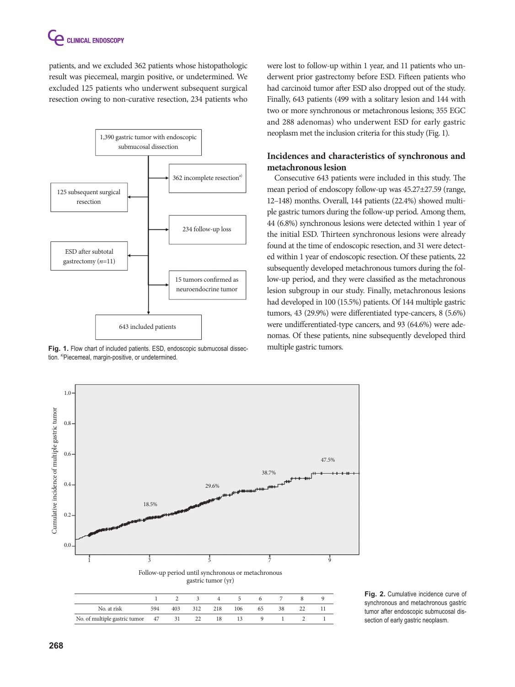patients, and we excluded 362 patients whose histopathologic result was piecemeal, margin positive, or undetermined. We excluded 125 patients who underwent subsequent surgical resection owing to non-curative resection, 234 patients who



Fig. 1. Flow chart of included patients. ESD, endoscopic submucosal dissec- multiple gastric tumors. tion. <sup>a)</sup>Piecemeal, margin-positive, or undetermined.

were lost to follow-up within 1 year, and 11 patients who underwent prior gastrectomy before ESD. Fifteen patients who had carcinoid tumor after ESD also dropped out of the study. Finally, 643 patients (499 with a solitary lesion and 144 with two or more synchronous or metachronous lesions; 355 EGC and 288 adenomas) who underwent ESD for early gastric neoplasm met the inclusion criteria for this study (Fig. 1).

## **Incidences and characteristics of synchronous and metachronous lesion**

Consecutive 643 patients were included in this study. The mean period of endoscopy follow-up was 45.27±27.59 (range, 12–148) months. Overall, 144 patients (22.4%) showed multiple gastric tumors during the follow-up period. Among them, 44 (6.8%) synchronous lesions were detected within 1 year of the initial ESD. Thirteen synchronous lesions were already found at the time of endoscopic resection, and 31 were detected within 1 year of endoscopic resection. Of these patients, 22 subsequently developed metachronous tumors during the follow-up period, and they were classified as the metachronous lesion subgroup in our study. Finally, metachronous lesions had developed in 100 (15.5%) patients. Of 144 multiple gastric tumors, 43 (29.9%) were differentiated type-cancers, 8 (5.6%) were undifferentiated-type cancers, and 93 (64.6%) were adenomas. Of these patients, nine subsequently developed third



**Fig. 2.** Cumulative incidence curve of synchronous and metachronous gastric tumor after endoscopic submucosal dissection of early gastric neoplasm.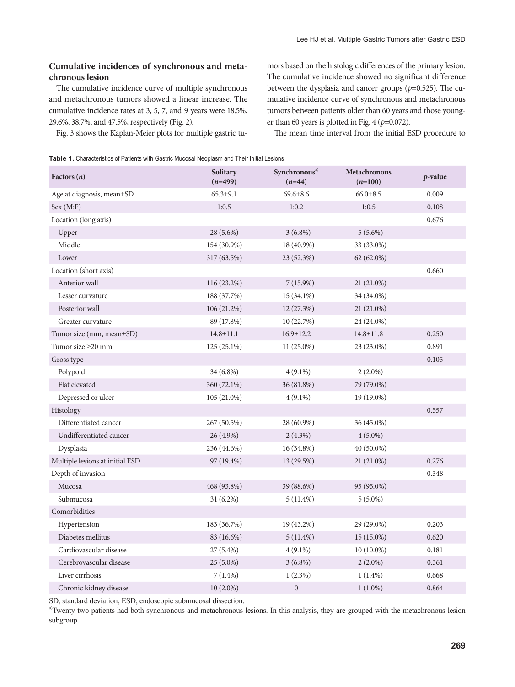### **Cumulative incidences of synchronous and metachronous lesion**

The cumulative incidence curve of multiple synchronous and metachronous tumors showed a linear increase. The cumulative incidence rates at 3, 5, 7, and 9 years were 18.5%, 29.6%, 38.7%, and 47.5%, respectively (Fig. 2).

Fig. 3 shows the Kaplan-Meier plots for multiple gastric tu-

mors based on the histologic differences of the primary lesion. The cumulative incidence showed no significant difference between the dysplasia and cancer groups ( $p=0.525$ ). The cumulative incidence curve of synchronous and metachronous tumors between patients older than 60 years and those younger than 60 years is plotted in Fig. 4 (*p*=0.072).

The mean time interval from the initial ESD procedure to

Table 1. Characteristics of Patients with Gastric Mucosal Neoplasm and Their Initial Lesions

| Factors $(n)$                   | Solitary<br>$(n=499)$ | Synchronous <sup>a)</sup><br>$(n=44)$ | <b>Metachronous</b><br>$(n=100)$ | $p$ -value |
|---------------------------------|-----------------------|---------------------------------------|----------------------------------|------------|
| Age at diagnosis, mean±SD       | $65.3 \pm 9.1$        | $69.6 \pm 8.6$                        | $66.0 \pm 8.5$                   | 0.009      |
| Sex (M:F)                       | 1:0.5                 | 1:0.2                                 | 1:0.5                            | 0.108      |
| Location (long axis)            |                       |                                       |                                  | 0.676      |
| Upper                           | 28 (5.6%)             | $3(6.8\%)$                            | $5(5.6\%)$                       |            |
| Middle                          | 154 (30.9%)           | 18 (40.9%)                            | 33 (33.0%)                       |            |
| Lower                           | 317 (63.5%)           | 23 (52.3%)                            | 62 (62.0%)                       |            |
| Location (short axis)           |                       |                                       |                                  | 0.660      |
| Anterior wall                   | 116 (23.2%)           | $7(15.9\%)$                           | 21 (21.0%)                       |            |
| Lesser curvature                | 188 (37.7%)           | 15 (34.1%)                            | 34 (34.0%)                       |            |
| Posterior wall                  | 106 (21.2%)           | 12 (27.3%)                            | 21 (21.0%)                       |            |
| Greater curvature               | 89 (17.8%)            | 10 (22.7%)                            | 24 (24.0%)                       |            |
| Tumor size (mm, mean±SD)        | $14.8 \pm 11.1$       | $16.9 \pm 12.2$                       | $14.8 \pm 11.8$                  | 0.250      |
| Tumor size $\geq$ 20 mm         | 125 (25.1%)           | 11 (25.0%)                            | 23 (23.0%)                       | 0.891      |
| Gross type                      |                       |                                       |                                  | 0.105      |
| Polypoid                        | $34(6.8\%)$           | $4(9.1\%)$                            | $2(2.0\%)$                       |            |
| Flat elevated                   | 360 (72.1%)           | 36 (81.8%)                            | 79 (79.0%)                       |            |
| Depressed or ulcer              | $105(21.0\%)$         | $4(9.1\%)$                            | 19 (19.0%)                       |            |
| Histology                       |                       |                                       |                                  | 0.557      |
| Differentiated cancer           | 267 (50.5%)           | 28 (60.9%)                            | 36 (45.0%)                       |            |
| Undifferentiated cancer         | 26 (4.9%)             | $2(4.3\%)$                            | $4(5.0\%)$                       |            |
| Dysplasia                       | 236 (44.6%)           | 16 (34.8%)                            | 40 (50.0%)                       |            |
| Multiple lesions at initial ESD | 97 (19.4%)            | 13 (29.5%)                            | 21 (21.0%)                       | 0.276      |
| Depth of invasion               |                       |                                       |                                  | 0.348      |
| Mucosa                          | 468 (93.8%)           | 39 (88.6%)                            | 95 (95.0%)                       |            |
| Submucosa                       | $31(6.2\%)$           | $5(11.4\%)$                           | $5(5.0\%)$                       |            |
| Comorbidities                   |                       |                                       |                                  |            |
| Hypertension                    | 183 (36.7%)           | 19 (43.2%)                            | 29 (29.0%)                       | 0.203      |
| Diabetes mellitus               | 83 (16.6%)            | $5(11.4\%)$                           | 15 (15.0%)                       | 0.620      |
| Cardiovascular disease          | 27 (5.4%)             | $4(9.1\%)$                            | 10 (10.0%)                       | 0.181      |
| Cerebrovascular disease         | 25 (5.0%)             | $3(6.8\%)$                            | $2(2.0\%)$                       | 0.361      |
| Liver cirrhosis                 | $7(1.4\%)$            | $1(2.3\%)$                            | $1(1.4\%)$                       | 0.668      |
| Chronic kidney disease          | $10(2.0\%)$           | $\boldsymbol{0}$                      | $1(1.0\%)$                       | 0.864      |

SD, standard deviation; ESD, endoscopic submucosal dissection.

<sup>a)</sup>Twenty two patients had both synchronous and metachronous lesions. In this analysis, they are grouped with the metachronous lesion subgroup.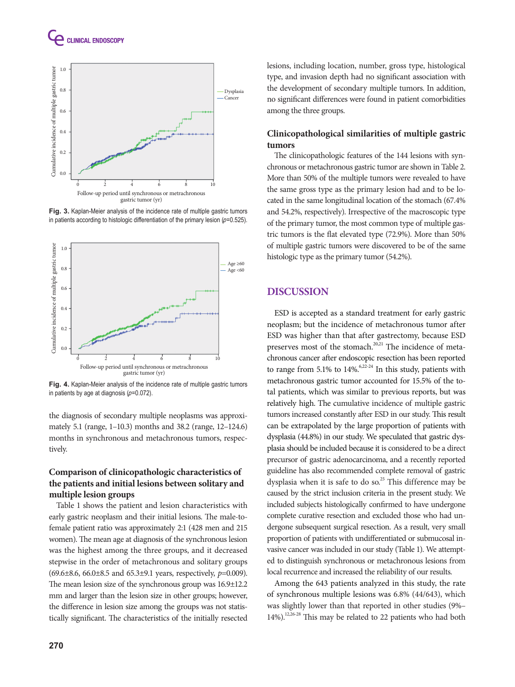



**Fig. 3.** Kaplan-Meier analysis of the incidence rate of multiple gastric tumors in patients according to histologic differentiation of the primary lesion  $(p=0.525)$ .



**Fig. 4.** Kaplan-Meier analysis of the incidence rate of multiple gastric tumors in patients by age at diagnosis  $(p=0.072)$ .

the diagnosis of secondary multiple neoplasms was approximately 5.1 (range, 1–10.3) months and 38.2 (range, 12–124.6) months in synchronous and metachronous tumors, respectively.

## **Comparison of clinicopathologic characteristics of the patients and initial lesions between solitary and multiple lesion groups**

Table 1 shows the patient and lesion characteristics with early gastric neoplasm and their initial lesions. The male-tofemale patient ratio was approximately 2:1 (428 men and 215 women). The mean age at diagnosis of the synchronous lesion was the highest among the three groups, and it decreased stepwise in the order of metachronous and solitary groups (69.6±8.6, 66.0±8.5 and 65.3±9.1 years, respectively, *p*=0.009). The mean lesion size of the synchronous group was 16.9±12.2 mm and larger than the lesion size in other groups; however, the difference in lesion size among the groups was not statistically significant. The characteristics of the initially resected lesions, including location, number, gross type, histological type, and invasion depth had no significant association with the development of secondary multiple tumors. In addition, no significant differences were found in patient comorbidities among the three groups.

### **Clinicopathological similarities of multiple gastric tumors**

The clinicopathologic features of the 144 lesions with synchronous or metachronous gastric tumor are shown in Table 2. More than 50% of the multiple tumors were revealed to have the same gross type as the primary lesion had and to be located in the same longitudinal location of the stomach (67.4% and 54.2%, respectively). Irrespective of the macroscopic type of the primary tumor, the most common type of multiple gastric tumors is the flat elevated type (72.9%). More than 50% of multiple gastric tumors were discovered to be of the same histologic type as the primary tumor (54.2%).

## **Discussion**

ESD is accepted as a standard treatment for early gastric neoplasm; but the incidence of metachronous tumor after ESD was higher than that after gastrectomy, because ESD preserves most of the stomach.<sup>20,21</sup> The incidence of metachronous cancer after endoscopic resection has been reported to range from 5.1% to  $14\%$ .<sup>6,22-24</sup> In this study, patients with metachronous gastric tumor accounted for 15.5% of the total patients, which was similar to previous reports, but was relatively high. The cumulative incidence of multiple gastric tumors increased constantly after ESD in our study. This result can be extrapolated by the large proportion of patients with dysplasia (44.8%) in our study. We speculated that gastric dysplasia should be included because it is considered to be a direct precursor of gastric adenocarcinoma, and a recently reported guideline has also recommended complete removal of gastric dysplasia when it is safe to do so. $^{25}$  This difference may be caused by the strict inclusion criteria in the present study. We included subjects histologically confirmed to have undergone complete curative resection and excluded those who had undergone subsequent surgical resection. As a result, very small proportion of patients with undifferentiated or submucosal invasive cancer was included in our study (Table 1). We attempted to distinguish synchronous or metachronous lesions from local recurrence and increased the reliability of our results.

Among the 643 patients analyzed in this study, the rate of synchronous multiple lesions was 6.8% (44/643), which was slightly lower than that reported in other studies (9%–  $14\%$ ).<sup>12,26-28</sup> This may be related to 22 patients who had both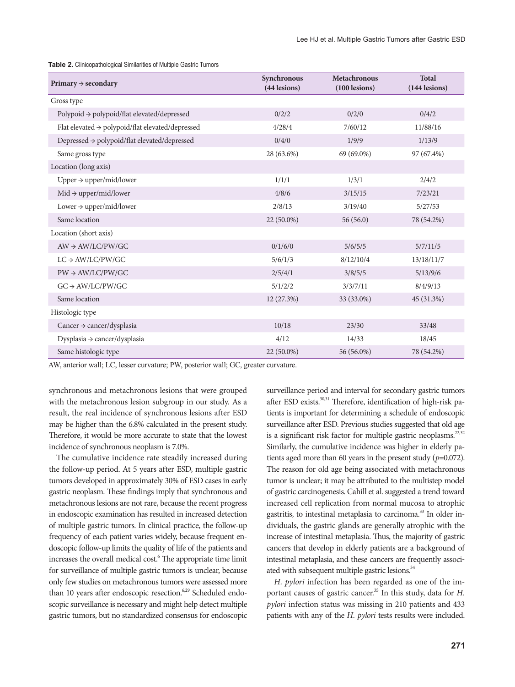**Table 2.** Clinicopathological Similarities of Multiple Gastric Tumors

| Primary $\rightarrow$ secondary                              | Synchronous<br>(44 lesions) | <b>Metachronous</b><br>$(100$ lesions) | <b>Total</b><br>(144 lesions) |
|--------------------------------------------------------------|-----------------------------|----------------------------------------|-------------------------------|
| Gross type                                                   |                             |                                        |                               |
| Polypoid $\rightarrow$ polypoid/flat elevated/depressed      | 0/2/2                       | 0/2/0                                  | 0/4/2                         |
| Flat elevated $\rightarrow$ polypoid/flat elevated/depressed | 4/28/4                      | 7/60/12                                | 11/88/16                      |
| Depressed $\rightarrow$ polypoid/flat elevated/depressed     | 0/4/0                       | 1/9/9                                  | 1/13/9                        |
| Same gross type                                              | 28 (63.6%)                  | 69 (69.0%)                             | 97 (67.4%)                    |
| Location (long axis)                                         |                             |                                        |                               |
| Upper $\rightarrow$ upper/mid/lower                          | 1/1/1                       | 1/3/1                                  | 2/4/2                         |
| $Mid \rightarrow upper/mid/lower$                            | 4/8/6                       | 3/15/15                                | 7/23/21                       |
| Lower $\rightarrow$ upper/mid/lower                          | 2/8/13                      | 3/19/40                                | 5/27/53                       |
| Same location                                                | 22 (50.0%)                  | 56(56.0)                               | 78 (54.2%)                    |
| Location (short axis)                                        |                             |                                        |                               |
| $AW \rightarrow AW/LC/PW/GC$                                 | 0/1/6/0                     | 5/6/5/5                                | 5/7/11/5                      |
| $LC \rightarrow AW/LC/PW/GC$                                 | 5/6/1/3                     | 8/12/10/4                              | 13/18/11/7                    |
| $PW \rightarrow AW/LC/PW/GC$                                 | 2/5/4/1                     | 3/8/5/5                                | 5/13/9/6                      |
| $GC \rightarrow AW/LC/PW/GC$                                 | 5/1/2/2                     | 3/3/7/11                               | 8/4/9/13                      |
| Same location                                                | 12 (27.3%)                  | 33 (33.0%)                             | 45 (31.3%)                    |
| Histologic type                                              |                             |                                        |                               |
| Cancer $\rightarrow$ cancer/dysplasia                        | 10/18                       | 23/30                                  | 33/48                         |
| Dysplasia → cancer/dysplasia                                 | 4/12                        | 14/33                                  | 18/45                         |
| Same histologic type                                         | 22 (50.0%)                  | 56 (56.0%)                             | 78 (54.2%)                    |

AW, anterior wall; LC, lesser curvature; PW, posterior wall; GC, greater curvature.

synchronous and metachronous lesions that were grouped with the metachronous lesion subgroup in our study. As a result, the real incidence of synchronous lesions after ESD may be higher than the 6.8% calculated in the present study. Therefore, it would be more accurate to state that the lowest incidence of synchronous neoplasm is 7.0%.

The cumulative incidence rate steadily increased during the follow-up period. At 5 years after ESD, multiple gastric tumors developed in approximately 30% of ESD cases in early gastric neoplasm. These findings imply that synchronous and metachronous lesions are not rare, because the recent progress in endoscopic examination has resulted in increased detection of multiple gastric tumors. In clinical practice, the follow-up frequency of each patient varies widely, because frequent endoscopic follow-up limits the quality of life of the patients and increases the overall medical cost.<sup>6</sup> The appropriate time limit for surveillance of multiple gastric tumors is unclear, because only few studies on metachronous tumors were assessed more than 10 years after endoscopic resection. $6,29$  Scheduled endoscopic surveillance is necessary and might help detect multiple gastric tumors, but no standardized consensus for endoscopic

surveillance period and interval for secondary gastric tumors after ESD exists.<sup>30,31</sup> Therefore, identification of high-risk patients is important for determining a schedule of endoscopic surveillance after ESD. Previous studies suggested that old age is a significant risk factor for multiple gastric neoplasms.<sup>22,32</sup> Similarly, the cumulative incidence was higher in elderly patients aged more than 60 years in the present study  $(p=0.072)$ . The reason for old age being associated with metachronous tumor is unclear; it may be attributed to the multistep model of gastric carcinogenesis. Cahill et al. suggested a trend toward increased cell replication from normal mucosa to atrophic gastritis, to intestinal metaplasia to carcinoma.<sup>33</sup> In older individuals, the gastric glands are generally atrophic with the increase of intestinal metaplasia. Thus, the majority of gastric cancers that develop in elderly patients are a background of intestinal metaplasia, and these cancers are frequently associated with subsequent multiple gastric lesions.<sup>34</sup>

*H. pylori* infection has been regarded as one of the important causes of gastric cancer.<sup>35</sup> In this study, data for *H*. *pylori* infection status was missing in 210 patients and 433 patients with any of the *H. pylori* tests results were included.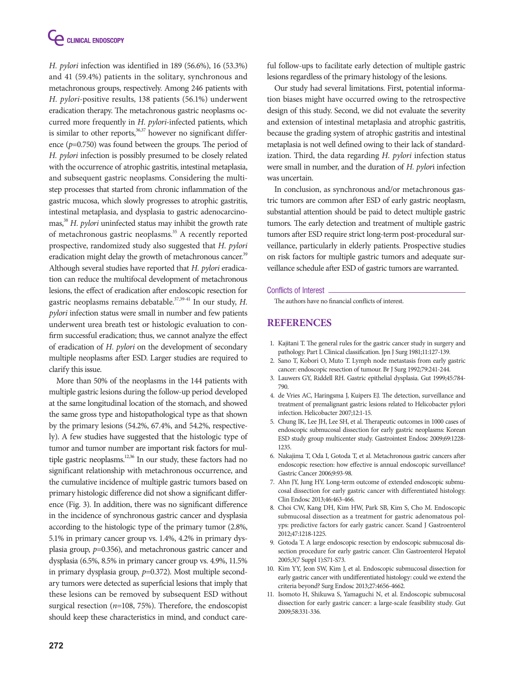

*H. pylori* infection was identified in 189 (56.6%), 16 (53.3%) and 41 (59.4%) patients in the solitary, synchronous and metachronous groups, respectively. Among 246 patients with *H. pylori*-positive results, 138 patients (56.1%) underwent eradication therapy. The metachronous gastric neoplasms occurred more frequently in *H. pylori*-infected patients, which is similar to other reports, $36,37$  however no significant difference (*p*=0.750) was found between the groups. The period of *H. pylori* infection is possibly presumed to be closely related with the occurrence of atrophic gastritis, intestinal metaplasia, and subsequent gastric neoplasms. Considering the multistep processes that started from chronic inflammation of the gastric mucosa, which slowly progresses to atrophic gastritis, intestinal metaplasia, and dysplasia to gastric adenocarcinomas,38 *H. pylori* uninfected status may inhibit the growth rate of metachronous gastric neoplasms.<sup>35</sup> A recently reported prospective, randomized study also suggested that *H. pylori* eradication might delay the growth of metachronous cancer.<sup>39</sup> Although several studies have reported that *H. pylori* eradication can reduce the multifocal development of metachronous lesions, the effect of eradication after endoscopic resection for gastric neoplasms remains debatable.<sup>37,39-41</sup> In our study, *H*. *pylori* infection status were small in number and few patients underwent urea breath test or histologic evaluation to confirm successful eradication; thus, we cannot analyze the effect of eradication of *H. pylori* on the development of secondary multiple neoplasms after ESD. Larger studies are required to clarify this issue.

More than 50% of the neoplasms in the 144 patients with multiple gastric lesions during the follow-up period developed at the same longitudinal location of the stomach, and showed the same gross type and histopathological type as that shown by the primary lesions (54.2%, 67.4%, and 54.2%, respectively). A few studies have suggested that the histologic type of tumor and tumor number are important risk factors for multiple gastric neoplasms.<sup>12,36</sup> In our study, these factors had no significant relationship with metachronous occurrence, and the cumulative incidence of multiple gastric tumors based on primary histologic difference did not show a significant difference (Fig. 3). In addition, there was no significant difference in the incidence of synchronous gastric cancer and dysplasia according to the histologic type of the primary tumor (2.8%, 5.1% in primary cancer group vs. 1.4%, 4.2% in primary dysplasia group, *p*=0.356), and metachronous gastric cancer and dysplasia (6.5%, 8.5% in primary cancer group vs. 4.9%, 11.5% in primary dysplasia group,  $p=0.372$ ). Most multiple secondary tumors were detected as superficial lesions that imply that these lesions can be removed by subsequent ESD without surgical resection (*n*=108, 75%). Therefore, the endoscopist should keep these characteristics in mind, and conduct care-

ful follow-ups to facilitate early detection of multiple gastric lesions regardless of the primary histology of the lesions.

Our study had several limitations. First, potential information biases might have occurred owing to the retrospective design of this study. Second, we did not evaluate the severity and extension of intestinal metaplasia and atrophic gastritis, because the grading system of atrophic gastritis and intestinal metaplasia is not well defined owing to their lack of standardization. Third, the data regarding *H. pylori* infection status were small in number, and the duration of *H. pylor*i infection was uncertain.

In conclusion, as synchronous and/or metachronous gastric tumors are common after ESD of early gastric neoplasm, substantial attention should be paid to detect multiple gastric tumors. The early detection and treatment of multiple gastric tumors after ESD require strict long-term post-procedural surveillance, particularly in elderly patients. Prospective studies on risk factors for multiple gastric tumors and adequate surveillance schedule after ESD of gastric tumors are warranted.

#### Conflicts of Interest

The authors have no financial conflicts of interest.

#### **REFERENCES**

- 1. Kajitani T. The general rules for the gastric cancer study in surgery and pathology. Part I. Clinical classification. Jpn J Surg 1981;11:127-139.
- 2. Sano T, Kobori O, Muto T. Lymph node metastasis from early gastric cancer: endoscopic resection of tumour. Br J Surg 1992;79:241-244.
- 3. Lauwers GY, Riddell RH. Gastric epithelial dysplasia. Gut 1999;45:784- 790.
- 4. de Vries AC, Haringsma J, Kuipers EJ. The detection, surveillance and treatment of premalignant gastric lesions related to Helicobacter pylori infection. Helicobacter 2007;12:1-15.
- 5. Chung IK, Lee JH, Lee SH, et al. Therapeutic outcomes in 1000 cases of endoscopic submucosal dissection for early gastric neoplasms: Korean ESD study group multicenter study. Gastrointest Endosc 2009;69:1228- 1235.
- 6. Nakajima T, Oda I, Gotoda T, et al. Metachronous gastric cancers after endoscopic resection: how effective is annual endoscopic surveillance? Gastric Cancer 2006;9:93-98.
- 7. Ahn JY, Jung HY. Long-term outcome of extended endoscopic submucosal dissection for early gastric cancer with differentiated histology. Clin Endosc 2013;46:463-466.
- 8. Choi CW, Kang DH, Kim HW, Park SB, Kim S, Cho M. Endoscopic submucosal dissection as a treatment for gastric adenomatous polyps: predictive factors for early gastric cancer. Scand J Gastroenterol 2012;47:1218-1225.
- 9. Gotoda T. A large endoscopic resection by endoscopic submucosal dissection procedure for early gastric cancer. Clin Gastroenterol Hepatol 2005;3(7 Suppl 1):S71-S73.
- 10. Kim YY, Jeon SW, Kim J, et al. Endoscopic submucosal dissection for early gastric cancer with undifferentiated histology: could we extend the criteria beyond? Surg Endosc 2013;27:4656-4662.
- 11. Isomoto H, Shikuwa S, Yamaguchi N, et al. Endoscopic submucosal dissection for early gastric cancer: a large-scale feasibility study. Gut 2009;58:331-336.